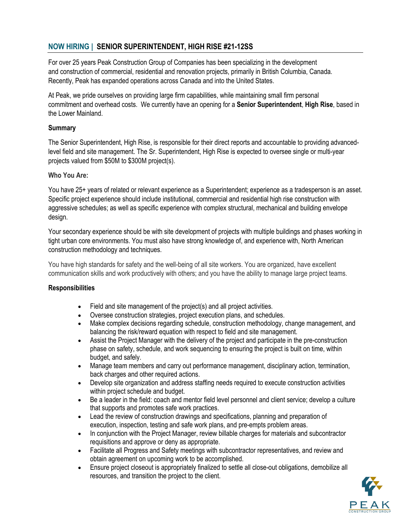# **NOW HIRING | SENIOR SUPERINTENDENT, HIGH RISE #21-12SS**

For over 25 years Peak Construction Group of Companies has been specializing in the development and construction of commercial, residential and renovation projects, primarily in British Columbia, Canada. Recently, Peak has expanded operations across Canada and into the United States.

At Peak, we pride ourselves on providing large firm capabilities, while maintaining small firm personal commitment and overhead costs. We currently have an opening for a **Senior Superintendent**, **High Rise**, based in the Lower Mainland.

#### **Summary**

The Senior Superintendent, High Rise, is responsible for their direct reports and accountable to providing advancedlevel field and site management. The Sr. Superintendent, High Rise is expected to oversee single or multi-year projects valued from \$50M to \$300M project(s).

#### **Who You Are:**

You have 25+ years of related or relevant experience as a Superintendent; experience as a tradesperson is an asset. Specific project experience should include institutional, commercial and residential high rise construction with aggressive schedules; as well as specific experience with complex structural, mechanical and building envelope design.

Your secondary experience should be with site development of projects with multiple buildings and phases working in tight urban core environments. You must also have strong knowledge of, and experience with, North American construction methodology and techniques.

You have high standards for safety and the well-being of all site workers. You are organized, have excellent communication skills and work productively with others; and you have the ability to manage large project teams.

#### **Responsibilities**

- Field and site management of the project(s) and all project activities.
- Oversee construction strategies, project execution plans, and schedules.
- Make complex decisions regarding schedule, construction methodology, change management, and balancing the risk/reward equation with respect to field and site management.
- Assist the Project Manager with the delivery of the project and participate in the pre-construction phase on safety, schedule, and work sequencing to ensuring the project is built on time, within budget, and safely.
- Manage team members and carry out performance management, disciplinary action, termination, back charges and other required actions.
- Develop site organization and address staffing needs required to execute construction activities within project schedule and budget.
- Be a leader in the field: coach and mentor field level personnel and client service; develop a culture that supports and promotes safe work practices.
- Lead the review of construction drawings and specifications, planning and preparation of execution, inspection, testing and safe work plans, and pre-empts problem areas.
- In conjunction with the Project Manager, review billable charges for materials and subcontractor requisitions and approve or deny as appropriate.
- Facilitate all Progress and Safety meetings with subcontractor representatives, and review and obtain agreement on upcoming work to be accomplished.
- Ensure project closeout is appropriately finalized to settle all close-out obligations, demobilize all resources, and transition the project to the client.